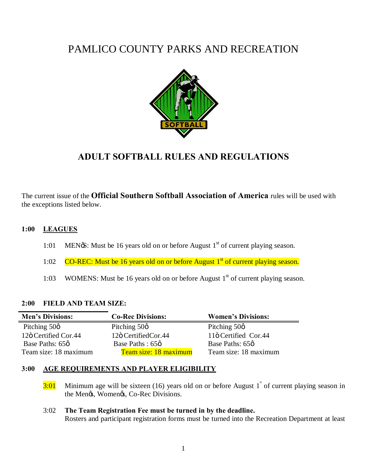# PAMLICO COUNTY PARKS AND RECREATION



## **ADULT SOFTBALL RULES AND REGULATIONS**

The current issue of the **Official Southern Softball Association of America** rules will be used with the exceptions listed below.

## **1:00 LEAGUES**

- 1:01 MEN $\delta$ : Must be 16 years old on or before August 1<sup>st</sup> of current playing season.
- 1:02  $CO$ -REC: Must be 16 years old on or before August  $1<sup>st</sup>$  of current playing season.
- 1:03 WOMENS: Must be 16 years old on or before August  $1<sup>st</sup>$  of current playing season.

## **2:00 FIELD AND TEAM SIZE:**

| <b>Men's Divisions:</b> | <b>Co-Rec Divisions:</b> | <b>Women's Divisions:</b> |
|-------------------------|--------------------------|---------------------------|
| Pitching $50\phi$       | Pitching $50\phi$        | Pitching $50\phi$         |
| 12ö Certified Cor.44    | 12ö CertifiedCor.44      | 11ö Certified Cor.44      |
| Base Paths: 65ø         | Base Paths: 65ø          | Base Paths: 65ø           |
| Team size: 18 maximum   | Team size: 18 maximum    | Team size: 18 maximum     |

#### **3:00 AGE REQUIREMENTS AND PLAYER ELIGIBILITY**

 $3:01$  Minimum age will be sixteen (16) years old on or before August 1<sup>\*</sup> of current playing season in the Men $\alpha$ , Women $\alpha$ , Co-Rec Divisions.

## 3:02 **The Team Registration Fee must be turned in by the deadline.**

Rosters and participant registration forms must be turned into the Recreation Department at least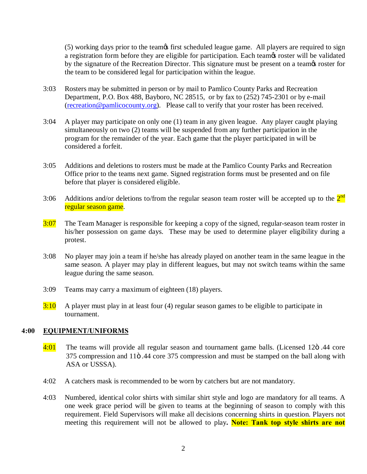(5) working days prior to the team t first scheduled league game. All players are required to sign a registration form before they are eligible for participation. Each teamos roster will be validated by the signature of the Recreation Director. This signature must be present on a teamos roster for the team to be considered legal for participation within the league.

- 3:03 Rosters may be submitted in person or by mail to Pamlico County Parks and Recreation Department, P.O. Box 488, Bayboro, NC 28515, or by fax to (252) 745-2301 or by e-mail ([recreation@pamlicocounty.org\)](mailto:recreation@pamlicocounty.org). Please call to verify that your roster has been received.
- 3:04 A player may participate on only one (1) team in any given league. Any player caught playing simultaneously on two (2) teams will be suspended from any further participation in the program for the remainder of the year. Each game that the player participated in will be considered a forfeit.
- 3:05 Additions and deletions to rosters must be made at the Pamlico County Parks and Recreation Office prior to the teams next game. Signed registration forms must be presented and on file before that player is considered eligible.
- 3:06 Additions and/or deletions to/from the regular season team roster will be accepted up to the  $2<sup>nd</sup>$ regular season game.
- 3:07 The Team Manager is responsible for keeping a copy of the signed, regular-season team roster in his/her possession on game days. These may be used to determine player eligibility during a protest.
- 3:08 No player may join a team if he/she has already played on another team in the same league in the same season. A player may play in different leagues, but may not switch teams within the same league during the same season.
- 3:09 Teams may carry a maximum of eighteen (18) players.
- $3:10$  A player must play in at least four (4) regular season games to be eligible to participate in tournament.

## **4:00 EQUIPMENT/UNIFORMS**

- 4:01 The teams will provide all regular season and tournament game balls. (Licensed 12ö .44 core  $375$  compression and  $11\ddot{\circ}$ .44 core  $375$  compression and must be stamped on the ball along with ASA or USSSA).
- 4:02 A catchers mask is recommended to be worn by catchers but are not mandatory.
- 4:03 Numbered, identical color shirts with similar shirt style and logo are mandatory for all teams. A one week grace period will be given to teams at the beginning of season to comply with this requirement. Field Supervisors will make all decisions concerning shirts in question. Players not meeting this requirement will not be allowed to play**. Note: Tank top style shirts are not**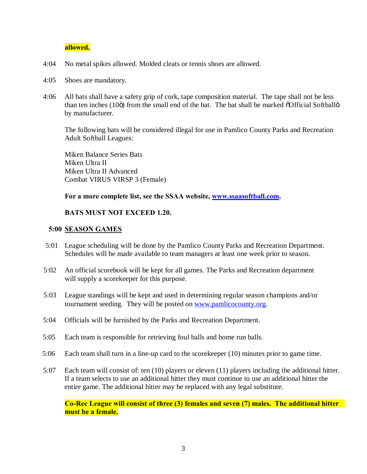#### **allowed.**

- 4:04 No metal spikes allowed. Molded cleats or tennis shoes are allowed.
- 4:05 Shoes are mandatory.
- 4:06 All bats shall have a safety grip of cork, tape composition material. The tape shall not be less than ten inches  $(10\ddot{o})$  from the small end of the bat. The bat shall be marked  $\ddot{o}$ Official Softball $\ddot{o}$ by manufacturer.

The following bats will be considered illegal for use in Pamlico County Parks and Recreation Adult Softball Leagues:

Miken Balance Series Bats Miken Ultra II Miken Ultra II Advanced Combat VIRUS VIRSP 3 (Female)

#### **For a more complete list, see the SSAA website, [www.ssaasoftball.com](http://www.ssaasoftball.com/).**

#### **BATS MUST NOT EXCEED 1.20.**

#### **5:00 SEASON GAMES**

- 5:01 League scheduling will be done by the Pamlico County Parks and Recreation Department. Schedules will be made available to team managers at least one week prior to season.
- 5:02 An official scorebook will be kept for all games. The Parks and Recreation department will supply a scorekeeper for this purpose.
- 5:03 League standings will be kept and used in determining regular season champions and/or tournament seeding. They will be posted on [www.pamlicocounty.org.](http://www.pamlicocounty.org/)
- 5:04 Officials will be furnished by the Parks and Recreation Department.
- 5:05 Each team is responsible for retrieving foul balls and home run balls.
- 5:06 Each team shall turn in a line-up card to the scorekeeper (10) minutes prior to game time.
- 5:07 Each team will consist of: ten (10) players or eleven (11) players including the additional hitter. If a team selects to use an additional hitter they must continue to use an additional hitter the entire game. The additional hitter may be replaced with any legal substitute.

**Co-Rec League will consist of three (3) females and seven (7) males. The additional hitter must be a female.**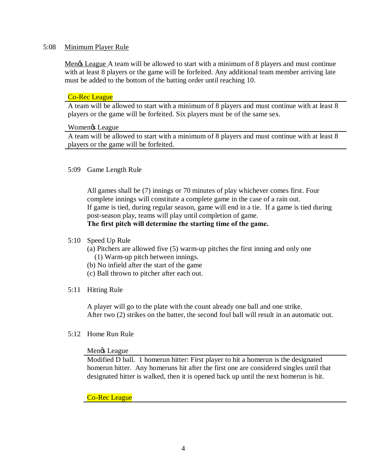#### 5:08 Minimum Player Rule

Mengs League A team will be allowed to start with a minimum of 8 players and must continue with at least 8 players or the game will be forfeited. Any additional team member arriving late must be added to the bottom of the batting order until reaching 10.

#### Co-Rec League

A team will be allowed to start with a minimum of 8 players and must continue with at least 8 players or the game will be forfeited. Six players must be of the same sex.

#### Women<sub>gs</sub> League

A team will be allowed to start with a minimum of 8 players and must continue with at least 8 players or the game will be forfeited.

#### 5:09 Game Length Rule

All games shall be (7) innings or 70 minutes of play whichever comes first. Four complete innings will constitute a complete game in the case of a rain out. If game is tied, during regular season, game will end in a tie. If a game is tied during post-season play, teams will play until completion of game. **The first pitch will determine the starting time of the game.** 

#### 5:10 Speed Up Rule

(a) Pitchers are allowed five (5) warm-up pitches the first inning and only one (1) Warm-up pitch between innings.

- (b) No infield after the start of the game
- (c) Ball thrown to pitcher after each out.

#### 5:11 Hitting Rule

A player will go to the plate with the count already one ball and one strike. After two (2) strikes on the batter, the second foul ball will result in an automatic out.

#### 5:12 Home Run Rule

#### Menos League

Modified D ball. 1 homerun hitter: First player to hit a homerun is the designated homerun hitter. Any homeruns hit after the first one are considered singles until that designated hitter is walked, then it is opened back up until the next homerun is hit.

#### Co-Rec League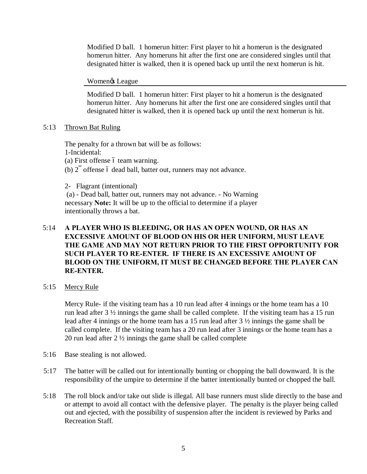Modified D ball. 1 homerun hitter: First player to hit a homerun is the designated homerun hitter. Any homeruns hit after the first one are considered singles until that designated hitter is walked, then it is opened back up until the next homerun is hit.

Women<sub>®</sub> League

Modified D ball. 1 homerun hitter: First player to hit a homerun is the designated homerun hitter. Any homeruns hit after the first one are considered singles until that designated hitter is walked, then it is opened back up until the next homerun is hit.

## 5:13 Thrown Bat Ruling

The penalty for a thrown bat will be as follows: 1-Incidental:  $(a)$  First offense  $\acute{o}$  team warning. (b)  $2<sup>nd</sup>$  offense 6 dead ball, batter out, runners may not advance.

2- Flagrant (intentional)

 (a) - Dead ball, batter out, runners may not advance. - No Warning necessary **Note:** It will be up to the official to determine if a player intentionally throws a bat.

## 5:14 **A PLAYER WHO IS BLEEDING, OR HAS AN OPEN WOUND, OR HAS AN EXCESSIVE AMOUNT OF BLOOD ON HIS OR HER UNIFORM, MUST LEAVE THE GAME AND MAY NOT RETURN PRIOR TO THE FIRST OPPORTUNITY FOR SUCH PLAYER TO RE-ENTER. IF THERE IS AN EXCESSIVE AMOUNT OF BLOOD ON THE UNIFORM, IT MUST BE CHANGED BEFORE THE PLAYER CAN RE-ENTER.**

5:15 Mercy Rule

Mercy Rule- if the visiting team has a 10 run lead after 4 innings or the home team has a 10 run lead after 3 ½ innings the game shall be called complete. If the visiting team has a 15 run lead after 4 innings or the home team has a 15 run lead after 3 ½ innings the game shall be called complete. If the visiting team has a 20 run lead after 3 innings or the home team has a 20 run lead after 2 ½ innings the game shall be called complete

- 5:16 Base stealing is not allowed.
- 5:17 The batter will be called out for intentionally bunting or chopping the ball downward. It is the responsibility of the umpire to determine if the batter intentionally bunted or chopped the ball.
- 5:18 The roll block and/or take out slide is illegal. All base runners must slide directly to the base and or attempt to avoid all contact with the defensive player. The penalty is the player being called out and ejected, with the possibility of suspension after the incident is reviewed by Parks and Recreation Staff.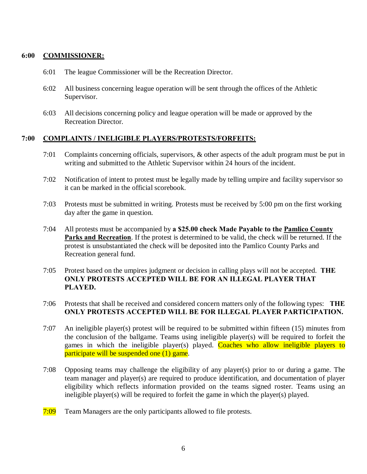#### **6:00 COMMISSIONER:**

- 6:01 The league Commissioner will be the Recreation Director.
- 6:02 All business concerning league operation will be sent through the offices of the Athletic Supervisor.
- 6:03 All decisions concerning policy and league operation will be made or approved by the Recreation Director.

#### **7:00 COMPLAINTS / INELIGIBLE PLAYERS/PROTESTS/FORFEITS:**

- 7:01 Complaints concerning officials, supervisors, & other aspects of the adult program must be put in writing and submitted to the Athletic Supervisor within 24 hours of the incident.
- 7:02 Notification of intent to protest must be legally made by telling umpire and facility supervisor so it can be marked in the official scorebook.
- 7:03 Protests must be submitted in writing. Protests must be received by 5:00 pm on the first working day after the game in question.
- 7:04 All protests must be accompanied by **a \$25.00 check Made Payable to the Pamlico County Parks and Recreation**. If the protest is determined to be valid, the check will be returned. If the protest is unsubstantiated the check will be deposited into the Pamlico County Parks and Recreation general fund.
- 7:05 Protest based on the umpires judgment or decision in calling plays will not be accepted. **THE ONLY PROTESTS ACCEPTED WILL BE FOR AN ILLEGAL PLAYER THAT PLAYED.**
- 7:06 Protests that shall be received and considered concern matters only of the following types: **THE ONLY PROTESTS ACCEPTED WILL BE FOR ILLEGAL PLAYER PARTICIPATION.**
- 7:07 An ineligible player(s) protest will be required to be submitted within fifteen (15) minutes from the conclusion of the ballgame. Teams using ineligible player(s) will be required to forfeit the games in which the ineligible player(s) played. Coaches who allow ineligible players to participate will be suspended one (1) game.
- 7:08 Opposing teams may challenge the eligibility of any player(s) prior to or during a game. The team manager and player(s) are required to produce identification, and documentation of player eligibility which reflects information provided on the teams signed roster. Teams using an ineligible player(s) will be required to forfeit the game in which the player(s) played.
- 7:09 Team Managers are the only participants allowed to file protests.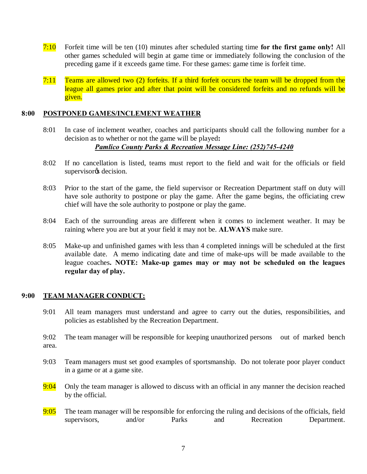- 7:10 Forfeit time will be ten (10) minutes after scheduled starting time **for the first game only!** All other games scheduled will begin at game time or immediately following the conclusion of the preceding game if it exceeds game time. For these games: game time is forfeit time.
- $7:11$  Teams are allowed two (2) forfeits. If a third forfeit occurs the team will be dropped from the league all games prior and after that point will be considered forfeits and no refunds will be given.

#### **8:00 POSTPONED GAMES/INCLEMENT WEATHER**

8:01 In case of inclement weather, coaches and participants should call the following number for a decision as to whether or not the game will be played**:** 

## *Pamlico County Parks & Recreation Message Line: (252)745-4240*

- 8:02 If no cancellation is listed, teams must report to the field and wait for the officials or field supervisor<sub>®</sub> decision.
- 8:03 Prior to the start of the game, the field supervisor or Recreation Department staff on duty will have sole authority to postpone or play the game. After the game begins, the officiating crew chief will have the sole authority to postpone or play the game.
- 8:04 Each of the surrounding areas are different when it comes to inclement weather. It may be raining where you are but at your field it may not be. **ALWAYS** make sure.
- 8:05 Make-up and unfinished games with less than 4 completed innings will be scheduled at the first available date. A memo indicating date and time of make-ups will be made available to the league coaches**. NOTE: Make-up games may or may not be scheduled on the leagues regular day of play.**

#### **9:00 TEAM MANAGER CONDUCT:**

9:01 All team managers must understand and agree to carry out the duties, responsibilities, and policies as established by the Recreation Department.

9:02 The team manager will be responsible for keeping unauthorized persons out of marked bench area.

- 9:03 Team managers must set good examples of sportsmanship. Do not tolerate poor player conduct in a game or at a game site.
- $9:04$  Only the team manager is allowed to discuss with an official in any manner the decision reached by the official.
- $9:05$  The team manager will be responsible for enforcing the ruling and decisions of the officials, field supervisors, and/or Parks and Recreation Department.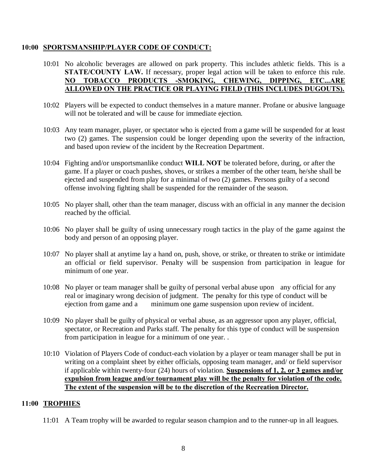#### **10:00 SPORTSMANSHIP/PLAYER CODE OF CONDUCT:**

- 10:01 No alcoholic beverages are allowed on park property. This includes athletic fields. This is a **STATE/COUNTY LAW.** If necessary, proper legal action will be taken to enforce this rule. **NO TOBACCO PRODUCTS -SMOKING, CHEWING, DIPPING, ETC...ARE ALLOWED ON THE PRACTICE OR PLAYING FIELD (THIS INCLUDES DUGOUTS).**
- 10:02 Players will be expected to conduct themselves in a mature manner. Profane or abusive language will not be tolerated and will be cause for immediate ejection.
- 10:03 Any team manager, player, or spectator who is ejected from a game will be suspended for at least two (2) games. The suspension could be longer depending upon the severity of the infraction, and based upon review of the incident by the Recreation Department.
- 10:04 Fighting and/or unsportsmanlike conduct **WILL NOT** be tolerated before, during, or after the game. If a player or coach pushes, shoves, or strikes a member of the other team, he/she shall be ejected and suspended from play for a minimal of two (2) games. Persons guilty of a second offense involving fighting shall be suspended for the remainder of the season.
- 10:05 No player shall, other than the team manager, discuss with an official in any manner the decision reached by the official.
- 10:06 No player shall be guilty of using unnecessary rough tactics in the play of the game against the body and person of an opposing player.
- 10:07 No player shall at anytime lay a hand on, push, shove, or strike, or threaten to strike or intimidate an official or field supervisor. Penalty will be suspension from participation in league for minimum of one year.
- 10:08 No player or team manager shall be guilty of personal verbal abuse upon any official for any real or imaginary wrong decision of judgment. The penalty for this type of conduct will be ejection from game and a minimum one game suspension upon review of incident.
- 10:09 No player shall be guilty of physical or verbal abuse, as an aggressor upon any player, official, spectator, or Recreation and Parks staff. The penalty for this type of conduct will be suspension from participation in league for a minimum of one year. .
- 10:10 Violation of Players Code of conduct-each violation by a player or team manager shall be put in writing on a complaint sheet by either officials, opposing team manager, and/ or field supervisor if applicable within twenty-four (24) hours of violation. **Suspensions of 1, 2, or 3 games and/or expulsion from league and/or tournament play will be the penalty for violation of the code. The extent of the suspension will be to the discretion of the Recreation Director.**

#### **11:00 TROPHIES**

11:01 A Team trophy will be awarded to regular season champion and to the runner-up in all leagues.